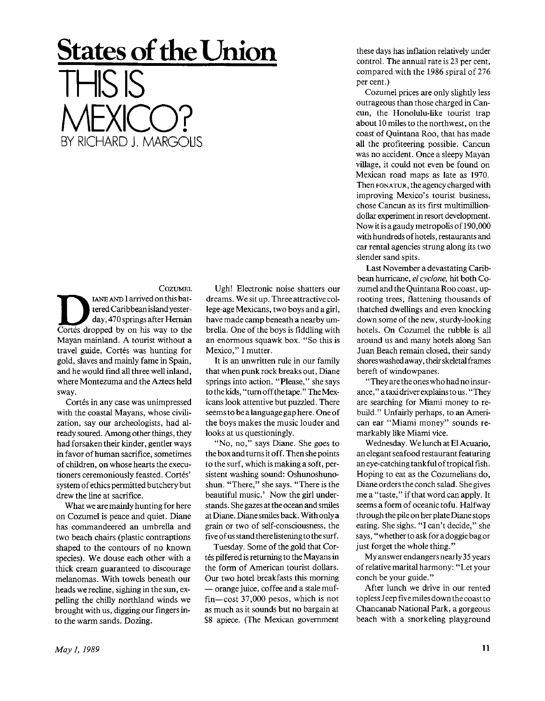## **States of the Union**  THIS IS MEXICO? BY RICHARD J. MARGOLIS

## **COZUMEL**

COZUMEL<br>
IANE AND I arrived on this bat-<br>
tered Caribbean island yester-<br>
day, 470 springs after Hernán<br>
Cortés dropped by on his way to the IANE AND I arrived on this battered Caribbean island yesterday, 470 springs after Hernán Mayan mainland. A tourist without a travel guide, Cortés was hunting for gold, slaves and mainly fame in Spain, and he would find all three well inland, where Montezuma and the Aztecs held sway.

Cortés in any case was unimpressed with the coastal Mayans, whose civilization, say our archeologists, had already soured. Among other things, they had forsaken their kinder, gentler ways in favor of human sacrifice, sometimes of children, on whose hearts the executioners ceremoniously feasted. Cortés' system of ethics permitted butchery but drew the line at sacrifice.

What we are mainly hunting for here on Cozumel is peace and quiet. Diane has commandeered an umbrella and two beach chairs (plastic contraptions shaped to the contours of no known species). We douse each other with a thick cream guaranteed to discourage melanomas. With towels beneath our heads we recline, sighing in the sun, expelling the chilly northland winds we brought with us, digging our fingers into the warm sands. Dozing.

Ugh! Electronic noise shatters our dreams. We sit up. Three attractive college-age Mexicans, two boys and agirl, have made camp beneath a nearby umbrella. One of the boys is fiddling with an enormous squawk box. "So this is Mexico," I mutter.

It is an unwritten rule in our family that when punk rock breaks out, Diane springs into action. "Please," she says to the kids, "turnoffthetape." TheMexicans look attentive but puzzled. There seems to be a language gap here. One of the boys makes the music louder and looks at us questioningly.

"No, no," says Diane. She goes to the box and turns it off. Then she points to the surf, which is making a soft, persistent washing sound: Oshunoshunoshun. "There," she says. "There is the beautiful music.' Now the girl understands . She gazes at the ocean and smiles at Diane. Diane smiles back. With only a grain or two of self-consciousness, the five of us stand there listening to the surf.

Tuesday. Some of the gold that Cortés pilfered is returning to the Mayans in the form of American tourist dollars. Our two hotel breakfasts this morning — orange juice, coffee and a stale muffin—cost 37,000 pesos, which is not as much as it sounds but no bargain at \$8 apiece. (The Mexican government

these days has inflation relatively under control. The annual rate is 23 per cent, compared with the 1986 spiral of 276 per cent.)

Cozumel prices are only slightly less outrageous than those charged in Cancun, the Honolulu-like tourist trap about 10 miles to the northwest, on the coast of Quintana Roo, that has made all the profiteering possible. Cancun was no accident. Once a sleepy Mayan village, it could not even be found on Mexican road maps as late as 1970. Then FONATUR, the agency charged with improving Mexico's tourist business, chose Cancun as its first multimilliondollar experiment in resort development. Now it is a gaudy metropolis of 190,000 with hundredsof hotels, restaurants and car rental agencies strung along its two slender sand spits.

Last November a devastating Caribbean hurricane, *el cyclone,* hit both Cozumel and the Quintana Roo coast, uprooting trees, flattening thousands of thatched dwellings and even knocking down some of the new, sturdy-looking hotels. On Cozumel the rubble is all around us and many hotels along San Juan Beach remain closed, their sandy shores washed away, their skeletal frames bereft of windowpanes.

" They are the ones who had no insurance," a taxi driver explains to us. "They are searching for Miami money to rebuild." Unfairly perhaps, to an American ear "Miami money" sounds remarkably like Miami vice.

Wednesday. We lunch at El Acuario, an elegant seafood restaurant featuring an eye-catching tankfulof tropical fish. Hoping to eat as the Cozumelians do, Diane orders the conch salad. She gives me a "taste," if that word can apply. It seems a form of oceanic tofu. Halfway through the pile on her plate Diane stops eating. She sighs. "I can't decide," she says, "whether to ask for a doggie bag or just forget the whole thing."

My answer endangers nearly 35 years of relative marital harmony: "Let your conch be your guide."

After lunch we drive in our rented topless Jeep five miles down the coast to Chancanab National Park, a gorgeous beach with a snorkeling playground